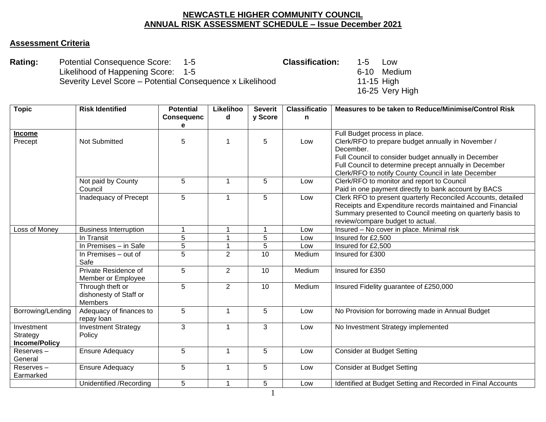## **NEWCASTLE HIGHER COMMUNITY COUNCIL ANNUAL RISK ASSESSMENT SCHEDULE – Issue December 2021**

## **Assessment Criteria**

**Rating:** Potential Consequence Score: 1-5 **Classification:** 1-5 Low Likelihood of Happening Score: 1-5<br>
Severity Level Score – Potential Consequence x Likelihood 6-10 11-15 High Severity Level Score – Potential Consequence x Likelihood

16-25 Very High

| <b>Topic</b>         | <b>Risk Identified</b>                    | <b>Potential</b>  | Likelihoo      | <b>Severit</b> | <b>Classificatio</b> | Measures to be taken to Reduce/Minimise/Control Risk            |
|----------------------|-------------------------------------------|-------------------|----------------|----------------|----------------------|-----------------------------------------------------------------|
|                      |                                           | <b>Consequenc</b> | d              | y Score        | n                    |                                                                 |
|                      |                                           | е                 |                |                |                      |                                                                 |
| <b>Income</b>        |                                           |                   | 1              |                |                      | Full Budget process in place.                                   |
| Precept              | <b>Not Submitted</b>                      | 5                 |                | 5              | Low                  | Clerk/RFO to prepare budget annually in November /<br>December. |
|                      |                                           |                   |                |                |                      | Full Council to consider budget annually in December            |
|                      |                                           |                   |                |                |                      | Full Council to determine precept annually in December          |
|                      |                                           |                   |                |                |                      | Clerk/RFO to notify County Council in late December             |
|                      | Not paid by County                        | 5                 | 1              | 5              | Low                  | Clerk/RFO to monitor and report to Council                      |
|                      | Council                                   |                   |                |                |                      | Paid in one payment directly to bank account by BACS            |
|                      | Inadequacy of Precept                     | 5                 | 1              | 5              | Low                  | Clerk RFO to present quarterly Reconciled Accounts, detailed    |
|                      |                                           |                   |                |                |                      | Receipts and Expenditure records maintained and Financial       |
|                      |                                           |                   |                |                |                      | Summary presented to Council meeting on quarterly basis to      |
|                      |                                           |                   |                |                |                      | review/compare budget to actual.                                |
| Loss of Money        | <b>Business Interruption</b>              | $\overline{1}$    | 1              | $\mathbf{1}$   | Low                  | Insured - No cover in place. Minimal risk                       |
|                      | In Transit                                | 5                 |                | 5              | Low                  | Insured for £2,500                                              |
|                      | In Premises $-$ in Safe                   | 5                 | 1              | 5              | Low                  | Insured for £2,500                                              |
|                      | In Premises – out of                      | 5                 | $\overline{2}$ | 10             | Medium               | Insured for £300                                                |
|                      | Safe                                      |                   |                |                |                      |                                                                 |
|                      | Private Residence of                      | 5                 | $\overline{2}$ | 10             | Medium               | Insured for £350                                                |
|                      | Member or Employee                        |                   |                |                |                      |                                                                 |
|                      | Through theft or                          | 5                 | $\overline{2}$ | 10             | Medium               | Insured Fidelity guarantee of £250,000                          |
|                      | dishonesty of Staff or                    |                   |                |                |                      |                                                                 |
|                      | <b>Members</b><br>Adequacy of finances to | 5                 | 1              | 5              | Low                  | No Provision for borrowing made in Annual Budget                |
| Borrowing/Lending    | repay loan                                |                   |                |                |                      |                                                                 |
| Investment           | <b>Investment Strategy</b>                | 3                 | 1              | 3              | Low                  | No Investment Strategy implemented                              |
| Strategy             | Policy                                    |                   |                |                |                      |                                                                 |
| <b>Income/Policy</b> |                                           |                   |                |                |                      |                                                                 |
| Reserves-            | <b>Ensure Adequacy</b>                    | 5                 | 1              | 5              | Low                  | <b>Consider at Budget Setting</b>                               |
| General              |                                           |                   |                |                |                      |                                                                 |
| Reserves-            | <b>Ensure Adequacy</b>                    | 5                 | 1              | 5              | Low                  | <b>Consider at Budget Setting</b>                               |
| Earmarked            |                                           |                   |                |                |                      |                                                                 |
|                      | Unidentified /Recording                   | 5                 | 1              | 5              | Low                  | Identified at Budget Setting and Recorded in Final Accounts     |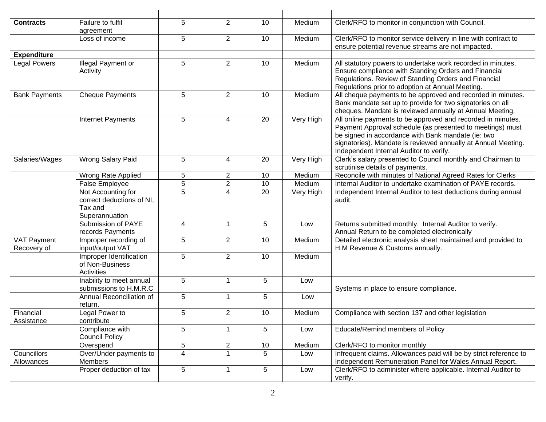| <b>Contracts</b>           | Failure to fulfil<br>agreement                                               | 5 | $\overline{2}$ | 10 | Medium    | Clerk/RFO to monitor in conjunction with Council.                                                                                                                                                                                                                                          |
|----------------------------|------------------------------------------------------------------------------|---|----------------|----|-----------|--------------------------------------------------------------------------------------------------------------------------------------------------------------------------------------------------------------------------------------------------------------------------------------------|
|                            | Loss of income                                                               | 5 | $\overline{2}$ | 10 | Medium    | Clerk/RFO to monitor service delivery in line with contract to<br>ensure potential revenue streams are not impacted.                                                                                                                                                                       |
| <b>Expenditure</b>         |                                                                              |   |                |    |           |                                                                                                                                                                                                                                                                                            |
| <b>Legal Powers</b>        | Illegal Payment or<br>Activity                                               | 5 | $\overline{2}$ | 10 | Medium    | All statutory powers to undertake work recorded in minutes.<br>Ensure compliance with Standing Orders and Financial<br>Regulations. Review of Standing Orders and Financial<br>Regulations prior to adoption at Annual Meeting.                                                            |
| <b>Bank Payments</b>       | <b>Cheque Payments</b>                                                       | 5 | 2              | 10 | Medium    | All cheque payments to be approved and recorded in minutes.<br>Bank mandate set up to provide for two signatories on all<br>cheques. Mandate is reviewed annually at Annual Meeting.                                                                                                       |
|                            | Internet Payments                                                            | 5 | 4              | 20 | Very High | All online payments to be approved and recorded in minutes.<br>Payment Approval schedule (as presented to meetings) must<br>be signed in accordance with Bank mandate (ie: two<br>signatories). Mandate is reviewed annually at Annual Meeting.<br>Independent Internal Auditor to verify. |
| Salaries/Wages             | Wrong Salary Paid                                                            | 5 | 4              | 20 | Very High | Clerk's salary presented to Council monthly and Chairman to<br>scrutinise details of payments.                                                                                                                                                                                             |
|                            | Wrong Rate Applied                                                           | 5 | $\mathbf{2}$   | 10 | Medium    | Reconcile with minutes of National Agreed Rates for Clerks                                                                                                                                                                                                                                 |
|                            | False Employee                                                               | 5 | $\overline{2}$ | 10 | Medium    | Internal Auditor to undertake examination of PAYE records.                                                                                                                                                                                                                                 |
|                            | Not Accounting for<br>correct deductions of NI,<br>Tax and<br>Superannuation | 5 | 4              | 20 | Very High | Independent Internal Auditor to test deductions during annual<br>audit.                                                                                                                                                                                                                    |
|                            | Submission of PAYE<br>records Payments                                       | 4 | $\mathbf{1}$   | 5  | Low       | Returns submitted monthly. Internal Auditor to verify.<br>Annual Return to be completed electronically                                                                                                                                                                                     |
| VAT Payment<br>Recovery of | Improper recording of<br>input/output VAT                                    | 5 | $\overline{2}$ | 10 | Medium    | Detailed electronic analysis sheet maintained and provided to<br>H.M Revenue & Customs annually.                                                                                                                                                                                           |
|                            | Improper Identification<br>of Non-Business<br>Activities                     | 5 | $\overline{2}$ | 10 | Medium    |                                                                                                                                                                                                                                                                                            |
|                            | Inability to meet annual<br>submissions to H.M.R.C                           | 5 |                | 5  | Low       | Systems in place to ensure compliance.                                                                                                                                                                                                                                                     |
|                            | Annual Reconciliation of<br>return.                                          | 5 | 1              | 5  | Low       |                                                                                                                                                                                                                                                                                            |
| Financial<br>Assistance    | Legal Power to<br>contribute                                                 | 5 | $\overline{2}$ | 10 | Medium    | Compliance with section 137 and other legislation                                                                                                                                                                                                                                          |
|                            | Compliance with<br><b>Council Policy</b>                                     | 5 |                | 5  | Low       | <b>Educate/Remind members of Policy</b>                                                                                                                                                                                                                                                    |
|                            | Overspend                                                                    | 5 | $\overline{2}$ | 10 | Medium    | Clerk/RFO to monitor monthly                                                                                                                                                                                                                                                               |
| Councillors<br>Allowances  | Over/Under payments to<br>Members                                            | 4 |                | 5  | Low       | Infrequent claims. Allowances paid will be by strict reference to<br>Independent Remuneration Panel for Wales Annual Report.                                                                                                                                                               |
|                            | Proper deduction of tax                                                      | 5 |                | 5  | Low       | Clerk/RFO to administer where applicable. Internal Auditor to<br>verify.                                                                                                                                                                                                                   |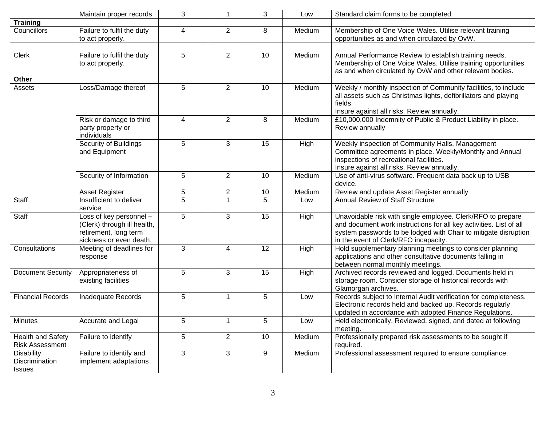|                                                      | Maintain proper records                                                                                    | 3               |                | 3           | Low    | Standard claim forms to be completed.                                                                                                                                                                                                         |
|------------------------------------------------------|------------------------------------------------------------------------------------------------------------|-----------------|----------------|-------------|--------|-----------------------------------------------------------------------------------------------------------------------------------------------------------------------------------------------------------------------------------------------|
| <b>Training</b>                                      |                                                                                                            |                 |                |             |        |                                                                                                                                                                                                                                               |
| Councillors                                          | Failure to fulfil the duty<br>to act properly.                                                             | $\overline{4}$  | $\overline{2}$ | 8           | Medium | Membership of One Voice Wales. Utilise relevant training<br>opportunities as and when circulated by OvW.                                                                                                                                      |
|                                                      |                                                                                                            |                 |                |             |        |                                                                                                                                                                                                                                               |
| <b>Clerk</b>                                         | Failure to fulfil the duty<br>to act properly.                                                             | 5               | $\overline{2}$ | 10          | Medium | Annual Performance Review to establish training needs.<br>Membership of One Voice Wales. Utilise training opportunities<br>as and when circulated by OvW and other relevant bodies.                                                           |
| Other                                                |                                                                                                            |                 |                |             |        |                                                                                                                                                                                                                                               |
| Assets                                               | Loss/Damage thereof                                                                                        | 5               | $\overline{2}$ | 10          | Medium | Weekly / monthly inspection of Community facilities, to include<br>all assets such as Christmas lights, defibrillators and playing<br>fields.<br>Insure against all risks. Review annually.                                                   |
|                                                      | Risk or damage to third<br>party property or<br>individuals                                                | $\overline{4}$  | $\overline{2}$ | 8           | Medium | £10,000,000 Indemnity of Public & Product Liability in place.<br>Review annually                                                                                                                                                              |
|                                                      | Security of Buildings<br>and Equipment                                                                     | $5\phantom{.0}$ | 3              | 15          | High   | Weekly inspection of Community Halls. Management<br>Committee agreements in place. Weekly/Monthly and Annual<br>inspections of recreational facilities.<br>Insure against all risks. Review annually.                                         |
|                                                      | Security of Information                                                                                    | 5               | $\overline{2}$ | 10          | Medium | Use of anti-virus software. Frequent data back up to USB<br>device.                                                                                                                                                                           |
|                                                      | <b>Asset Register</b>                                                                                      | 5               | $\overline{c}$ | 10          | Medium | Review and update Asset Register annually                                                                                                                                                                                                     |
| Staff                                                | Insufficient to deliver<br>service                                                                         | $\overline{5}$  |                | 5           | Low    | <b>Annual Review of Staff Structure</b>                                                                                                                                                                                                       |
| Staff                                                | Loss of key personnel -<br>(Clerk) through ill health,<br>retirement, long term<br>sickness or even death. | $5\phantom{.0}$ | 3              | 15          | High   | Unavoidable risk with single employee. Clerk/RFO to prepare<br>and document work instructions for all key activities. List of all<br>system passwords to be lodged with Chair to mitigate disruption<br>in the event of Clerk/RFO incapacity. |
| Consultations                                        | Meeting of deadlines for<br>response                                                                       | 3               | 4              | 12          | High   | Hold supplementary planning meetings to consider planning<br>applications and other consultative documents falling in<br>between normal monthly meetings.                                                                                     |
| <b>Document Security</b>                             | Appropriateness of<br>existing facilities                                                                  | 5               | 3              | 15          | High   | Archived records reviewed and logged. Documents held in<br>storage room. Consider storage of historical records with<br>Glamorgan archives.                                                                                                   |
| <b>Financial Records</b>                             | Inadequate Records                                                                                         | $\sqrt{5}$      | 1              | 5           | Low    | Records subject to Internal Audit verification for completeness.<br>Electronic records held and backed up. Records regularly<br>updated in accordance with adopted Finance Regulations.                                                       |
| Minutes                                              | Accurate and Legal                                                                                         | 5               |                | $\mathbf b$ | Low    | Held electronically. Reviewed, signed, and dated at following<br>meeting.                                                                                                                                                                     |
| <b>Health and Safety</b><br><b>Risk Assessment</b>   | Failure to identify                                                                                        | 5               | $\overline{2}$ | 10          | Medium | Professionally prepared risk assessments to be sought if<br>required.                                                                                                                                                                         |
| <b>Disability</b><br>Discrimination<br><b>Issues</b> | Failure to identify and<br>implement adaptations                                                           | 3               | 3              | 9           | Medium | Professional assessment required to ensure compliance.                                                                                                                                                                                        |